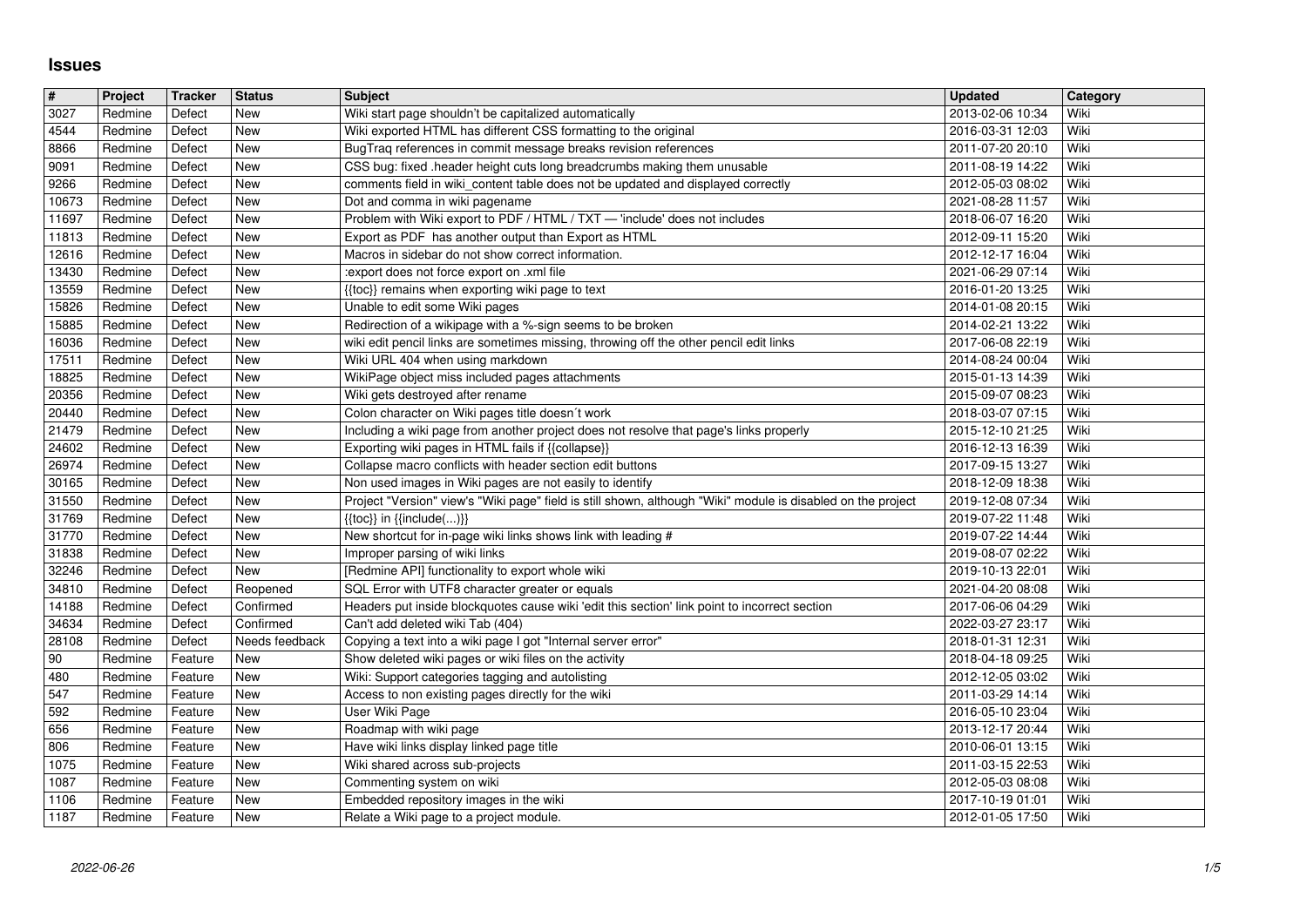## **Issues**

| $\vert$ #<br>3027 | Project            | <b>Tracker</b>     | <b>Status</b>            | <b>Subject</b>                                                                                                                                           | <b>Updated</b><br>2013-02-06 10:34   | Category<br>Wiki |
|-------------------|--------------------|--------------------|--------------------------|----------------------------------------------------------------------------------------------------------------------------------------------------------|--------------------------------------|------------------|
| 4544              | Redmine<br>Redmine | Defect<br>Defect   | New<br>New               | Wiki start page shouldn't be capitalized automatically<br>Wiki exported HTML has different CSS formatting to the original                                | 2016-03-31 12:03                     | Wiki             |
| 8866<br>9091      | Redmine<br>Redmine | Defect<br>Defect   | New<br>New               | BugTraq references in commit message breaks revision references<br>CSS bug: fixed .header height cuts long breadcrumbs making them unusable              | 2011-07-20 20:10<br>2011-08-19 14:22 | Wiki<br>Wiki     |
| 9266              | Redmine            | Defect             | New                      | comments field in wiki_content table does not be updated and displayed correctly                                                                         | 2012-05-03 08:02                     | Wiki             |
| 10673<br>11697    | Redmine<br>Redmine | Defect<br>Defect   | New<br>New               | Dot and comma in wiki pagename<br>Problem with Wiki export to PDF / HTML / TXT - 'include' does not includes                                             | 2021-08-28 11:57<br>2018-06-07 16:20 | Wiki<br>Wiki     |
| 11813             | Redmine            | Defect             | New                      | Export as PDF has another output than Export as HTML                                                                                                     | 2012-09-11 15:20                     | Wiki             |
| 12616<br>13430    | Redmine<br>Redmine | Defect<br>Defect   | New<br>New               | Macros in sidebar do not show correct information.<br>:export does not force export on .xml file                                                         | 2012-12-17 16:04<br>2021-06-29 07:14 | Wiki<br>Wiki     |
| 13559             | Redmine            | Defect             | New                      | {{toc}} remains when exporting wiki page to text                                                                                                         | 2016-01-20 13:25                     | Wiki             |
| 15826<br>15885    | Redmine<br>Redmine | Defect<br>Defect   | New<br>New               | Unable to edit some Wiki pages<br>Redirection of a wikipage with a %-sign seems to be broken                                                             | 2014-01-08 20:15<br>2014-02-21 13:22 | Wiki<br>Wiki     |
| 16036             | Redmine            | Defect             | New                      | wiki edit pencil links are sometimes missing, throwing off the other pencil edit links                                                                   | 2017-06-08 22:19                     | Wiki             |
| 17511<br>18825    | Redmine<br>Redmine | Defect<br>Defect   | New<br>New               | Wiki URL 404 when using markdown<br>WikiPage object miss included pages attachments                                                                      | 2014-08-24 00:04<br>2015-01-13 14:39 | Wiki<br>Wiki     |
| 20356             | Redmine            | Defect             | New                      | Wiki gets destroyed after rename                                                                                                                         | 2015-09-07 08:23                     | Wiki             |
| 20440<br>21479    | Redmine<br>Redmine | Defect<br>Defect   | <b>New</b><br>New        | Colon character on Wiki pages title doesn't work<br>Including a wiki page from another project does not resolve that page's links properly               | 2018-03-07 07:15<br>2015-12-10 21:25 | Wiki<br>Wiki     |
| 24602             | Redmine            | Defect             | New                      | Exporting wiki pages in HTML fails if {{collapse}}                                                                                                       | 2016-12-13 16:39                     | Wiki             |
| 26974<br>30165    | Redmine<br>Redmine | Defect<br>Defect   | New<br>New               | Collapse macro conflicts with header section edit buttons<br>Non used images in Wiki pages are not easily to identify                                    | 2017-09-15 13:27<br>2018-12-09 18:38 | Wiki<br>Wiki     |
| 31550<br>31769    | Redmine<br>Redmine | Defect<br>Defect   | New<br>New               | Project "Version" view's "Wiki page" field is still shown, although "Wiki" module is disabled on the project<br>$\{\{toc\}\}\$ in $\{\{include(C, )\}\}$ | 2019-12-08 07:34<br>2019-07-22 11:48 | Wiki<br>Wiki     |
| 31770             | Redmine            | Defect             | New                      | New shortcut for in-page wiki links shows link with leading #                                                                                            | 2019-07-22 14:44                     | Wiki             |
| 31838<br>32246    | Redmine<br>Redmine | Defect<br>Defect   | New<br>New               | Improper parsing of wiki links<br>[Redmine API] functionality to export whole wiki                                                                       | 2019-08-07 02:22<br>2019-10-13 22:01 | Wiki<br>Wiki     |
| 34810             | Redmine            | Defect             | Reopened                 | SQL Error with UTF8 character greater or equals                                                                                                          | 2021-04-20 08:08                     | Wiki             |
| 14188<br>34634    | Redmine<br>Redmine | Defect<br>Defect   | Confirmed<br>Confirmed   | Headers put inside blockquotes cause wiki 'edit this section' link point to incorrect section<br>Can't add deleted wiki Tab (404)                        | 2017-06-06 04:29<br>2022-03-27 23:17 | Wiki<br>Wiki     |
| 28108             | Redmine            | Defect             | Needs feedback           | Copying a text into a wiki page I got "Internal server error"                                                                                            | 2018-01-31 12:31                     | Wiki             |
| 90<br>480         | Redmine<br>Redmine | Feature<br>Feature | New<br>New               | Show deleted wiki pages or wiki files on the activity<br>Wiki: Support categories tagging and autolisting                                                | 2018-04-18 09:25<br>2012-12-05 03:02 | Wiki<br>Wiki     |
| 547               | Redmine            | Feature            | New                      | Access to non existing pages directly for the wiki                                                                                                       | 2011-03-29 14:14                     | Wiki             |
| 592<br>656        | Redmine<br>Redmine | Feature<br>Feature | New<br><b>New</b>        | User Wiki Page<br>Roadmap with wiki page                                                                                                                 | 2016-05-10 23:04<br>2013-12-17 20:44 | Wiki<br>Wiki     |
| 806               | Redmine            | Feature            | New                      | Have wiki links display linked page title                                                                                                                | 2010-06-01 13:15                     | Wiki             |
| 1075<br>1087      | Redmine<br>Redmine | Feature<br>Feature | <b>New</b><br><b>New</b> | Wiki shared across sub-projects<br>Commenting system on wiki                                                                                             | 2011-03-15 22:53<br>2012-05-03 08:08 | Wiki<br>Wiki     |
| 1106<br>1187      | Redmine<br>Redmine | Feature<br>Feature | New<br>New               | Embedded repository images in the wiki<br>Relate a Wiki page to a project module.                                                                        | 2017-10-19 01:01<br>2012-01-05 17:50 | Wiki<br>Wiki     |
|                   |                    |                    |                          |                                                                                                                                                          |                                      |                  |
|                   |                    |                    |                          |                                                                                                                                                          |                                      |                  |
|                   |                    |                    |                          |                                                                                                                                                          |                                      |                  |
|                   |                    |                    |                          |                                                                                                                                                          |                                      |                  |
|                   |                    |                    |                          |                                                                                                                                                          |                                      |                  |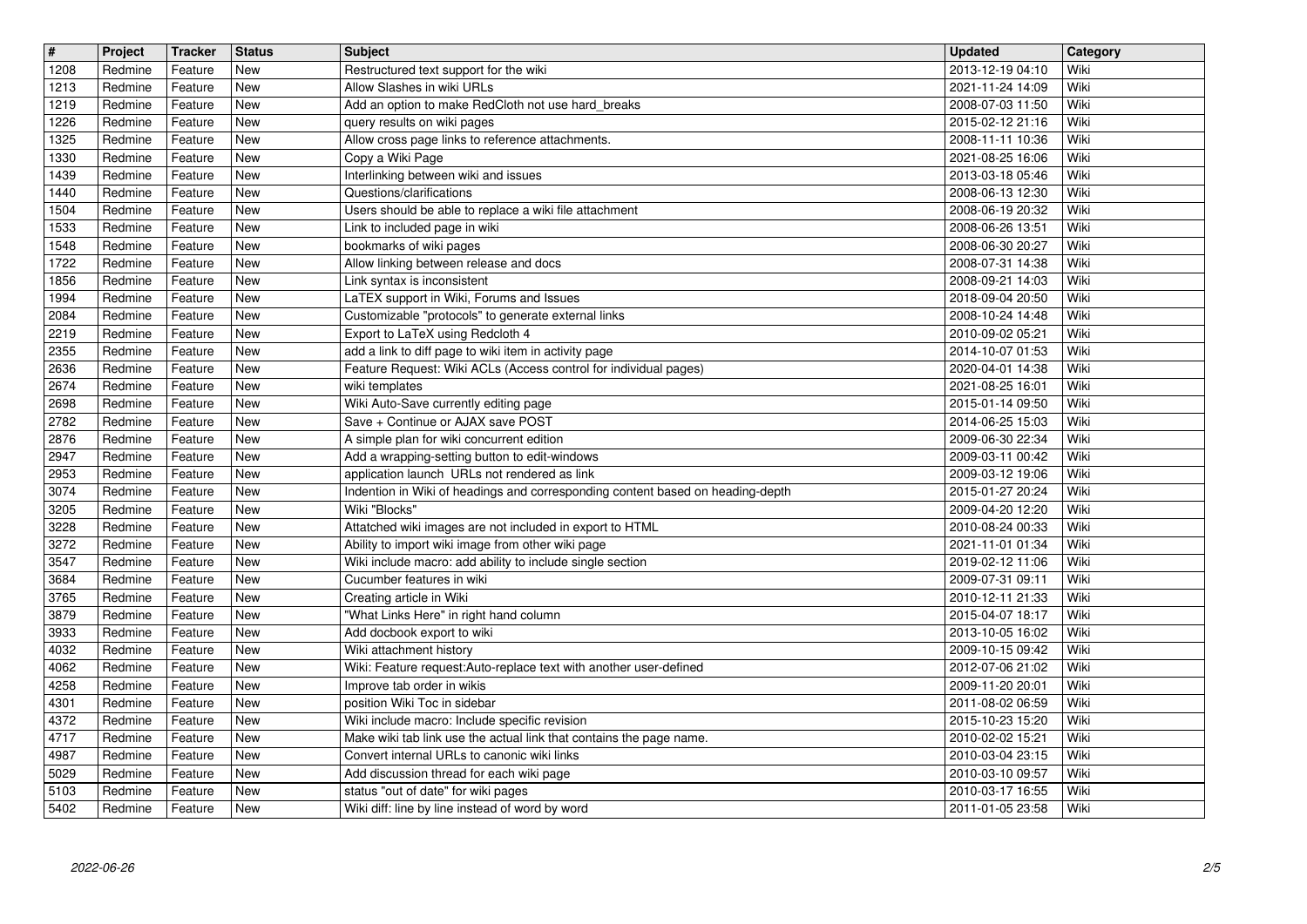| $\sqrt{t}$<br>1208 | Project<br>Redmine | <b>Tracker</b><br>Feature | <b>Status</b><br>New     | <b>Subject</b><br>Restructured text support for the wiki                                                           | <b>Updated</b><br>2013-12-19 04:10   | Category<br>Wiki |
|--------------------|--------------------|---------------------------|--------------------------|--------------------------------------------------------------------------------------------------------------------|--------------------------------------|------------------|
| 1213               | Redmine            | Feature                   | <b>New</b>               | Allow Slashes in wiki URLs                                                                                         | 2021-11-24 14:09                     | Wiki             |
| 1219<br>1226       | Redmine<br>Redmine | Feature<br>Feature        | <b>New</b><br><b>New</b> | Add an option to make RedCloth not use hard_breaks<br>query results on wiki pages                                  | 2008-07-03 11:50<br>2015-02-12 21:16 | Wiki<br>Wiki     |
| 1325               | Redmine            | Feature                   | New                      | Allow cross page links to reference attachments.                                                                   | 2008-11-11 10:36                     | Wiki             |
| 1330<br>1439       | Redmine<br>Redmine | Feature<br>Feature        | New<br>New               | Copy a Wiki Page<br>Interlinking between wiki and issues                                                           | 2021-08-25 16:06<br>2013-03-18 05:46 | Wiki<br>Wiki     |
| 1440<br>1504       | Redmine<br>Redmine | Feature<br>Feature        | New<br>New               | Questions/clarifications<br>Users should be able to replace a wiki file attachment                                 | 2008-06-13 12:30<br>2008-06-19 20:32 | Wiki<br>Wiki     |
| 1533               | Redmine            | Feature                   | <b>New</b>               | Link to included page in wiki                                                                                      | 2008-06-26 13:51                     | Wiki             |
| 1548<br>1722       | Redmine<br>Redmine | Feature<br>Feature        | <b>New</b><br><b>New</b> | bookmarks of wiki pages<br>Allow linking between release and docs                                                  | 2008-06-30 20:27<br>2008-07-31 14:38 | Wiki<br>Wiki     |
| 1856<br>1994       | Redmine<br>Redmine | Feature<br>Feature        | <b>New</b><br>New        | Link syntax is inconsistent<br>LaTEX support in Wiki, Forums and Issues                                            | 2008-09-21 14:03<br>2018-09-04 20:50 | Wiki<br>Wiki     |
| 2084               | Redmine            | Feature                   | New                      | Customizable "protocols" to generate external links                                                                | 2008-10-24 14:48                     | Wiki             |
| 2219<br>2355       | Redmine<br>Redmine | Feature<br>Feature        | New<br>New               | Export to LaTeX using Redcloth 4<br>add a link to diff page to wiki item in activity page                          | 2010-09-02 05:21<br>2014-10-07 01:53 | Wiki<br>Wiki     |
| 2636<br>2674       | Redmine<br>Redmine | Feature<br>Feature        | New<br><b>New</b>        | Feature Request: Wiki ACLs (Access control for individual pages)<br>wiki templates                                 | 2020-04-01 14:38<br>2021-08-25 16:01 | Wiki<br>Wiki     |
| 2698               | Redmine            | Feature                   | <b>New</b>               | Wiki Auto-Save currently editing page                                                                              | 2015-01-14 09:50                     | Wiki             |
| 2782<br>2876       | Redmine<br>Redmine | Feature<br>Feature        | <b>New</b><br><b>New</b> | Save + Continue or AJAX save POST<br>A simple plan for wiki concurrent edition                                     | 2014-06-25 15:03<br>2009-06-30 22:34 | Wiki<br>Wiki     |
| 2947<br>2953       | Redmine<br>Redmine | Feature<br>Feature        | New<br>New               | Add a wrapping-setting button to edit-windows<br>application launch URLs not rendered as link                      | 2009-03-11 00:42<br>2009-03-12 19:06 | Wiki<br>Wiki     |
| 3074               | Redmine            | Feature                   | New                      | Indention in Wiki of headings and corresponding content based on heading-depth                                     | 2015-01-27 20:24                     | Wiki             |
| 3205<br>3228       | Redmine<br>Redmine | Feature<br>Feature        | <b>New</b><br>New        | Wiki "Blocks"<br>Attatched wiki images are not included in export to HTML                                          | 2009-04-20 12:20<br>2010-08-24 00:33 | Wiki<br>Wiki     |
| 3272<br>3547       | Redmine<br>Redmine | Feature<br>Feature        | <b>New</b><br><b>New</b> | Ability to import wiki image from other wiki page<br>Wiki include macro: add ability to include single section     | 2021-11-01 01:34<br>2019-02-12 11:06 | Wiki<br>Wiki     |
| 3684               | Redmine            | Feature                   | <b>New</b>               | Cucumber features in wiki                                                                                          | 2009-07-31 09:11                     | Wiki             |
| 3765<br>3879       | Redmine<br>Redmine | Feature<br>Feature        | New<br>New               | Creating article in Wiki<br>"What Links Here" in right hand column                                                 | 2010-12-11 21:33<br>2015-04-07 18:17 | Wiki<br>Wiki     |
| 3933               | Redmine            | Feature                   | New                      | Add docbook export to wiki<br>Wiki attachment history                                                              | 2013-10-05 16:02                     | Wiki<br>Wiki     |
| 4032<br>4062       | Redmine<br>Redmine | Feature<br>Feature        | New<br>New               | Wiki: Feature request:Auto-replace text with another user-defined                                                  | 2009-10-15 09:42<br>2012-07-06 21:02 | Wiki             |
| 4258<br>4301       | Redmine<br>Redmine | Feature<br>Feature        | New<br>New               | Improve tab order in wikis<br>position Wiki Toc in sidebar                                                         | 2009-11-20 20:01<br>2011-08-02 06:59 | Wiki<br>Wiki     |
| 4372<br>4717       | Redmine<br>Redmine | Feature                   | New<br>New               | Wiki include macro: Include specific revision                                                                      | 2015-10-23 15:20                     | Wiki<br>Wiki     |
| 4987               | Redmine            | Feature<br>Feature        | New                      | Make wiki tab link use the actual link that contains the page name.<br>Convert internal URLs to canonic wiki links | 2010-02-02 15:21<br>2010-03-04 23:15 | Wiki             |
| 5029<br>5103       | Redmine<br>Redmine | Feature<br>Feature        | New<br>New               | Add discussion thread for each wiki page<br>status "out of date" for wiki pages                                    | 2010-03-10 09:57<br>2010-03-17 16:55 | Wiki<br>Wiki     |
| 5402               | Redmine            | Feature                   | New                      | Wiki diff: line by line instead of word by word                                                                    | 2011-01-05 23:58                     | Wiki             |
|                    |                    |                           |                          |                                                                                                                    |                                      |                  |
|                    |                    |                           |                          |                                                                                                                    |                                      |                  |
|                    |                    |                           |                          |                                                                                                                    |                                      |                  |
|                    |                    |                           |                          |                                                                                                                    |                                      |                  |
|                    |                    |                           |                          |                                                                                                                    |                                      |                  |
|                    |                    |                           |                          |                                                                                                                    |                                      |                  |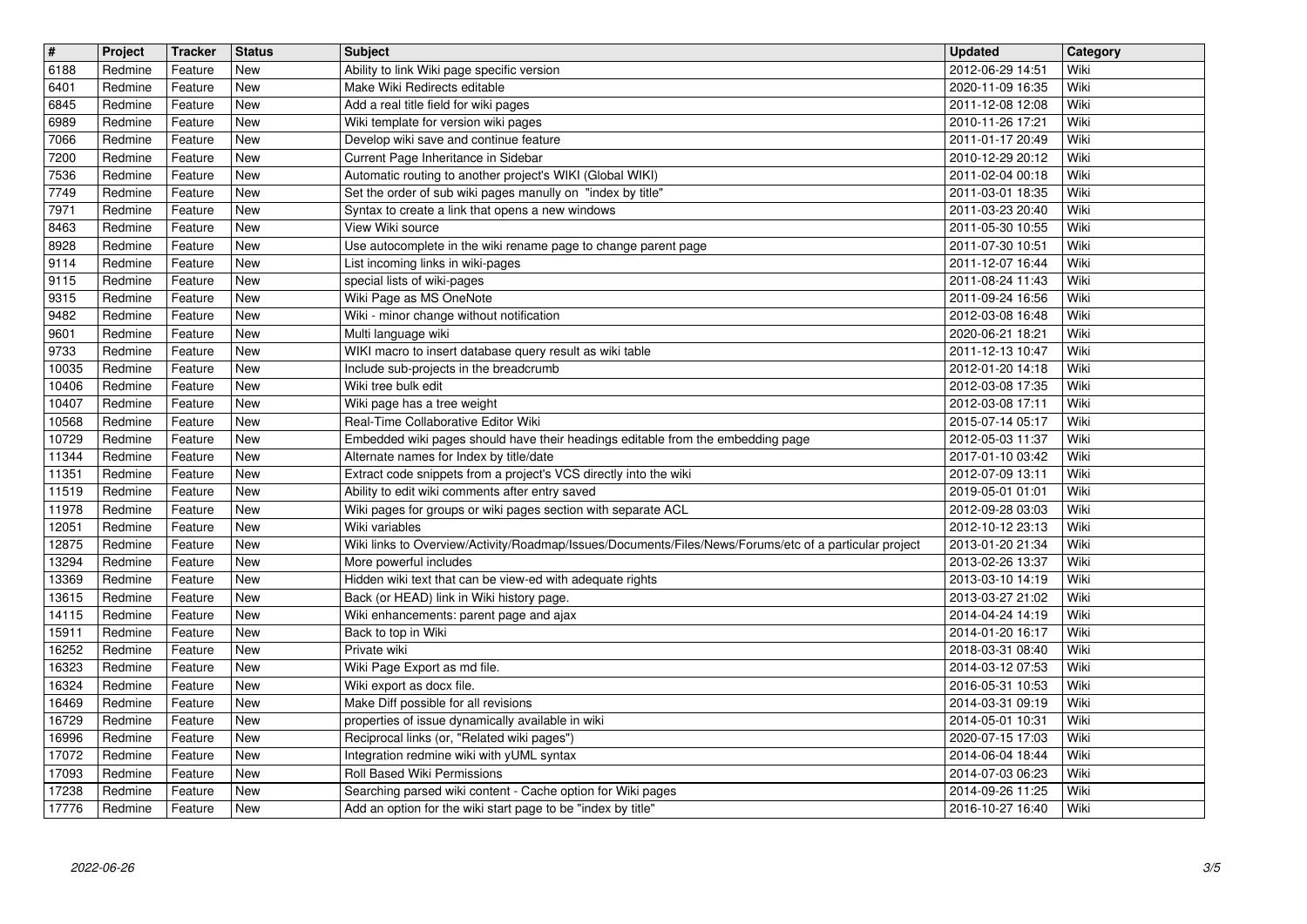| $\overline{\mathbf{H}}$<br>6188 | Project<br>Redmine | Tracker<br>Feature | <b>Status</b><br><b>New</b> | <b>Subject</b><br>Ability to link Wiki page specific version                                                 | <b>Updated</b><br>2012-06-29 14:51   | Category<br>Wiki |
|---------------------------------|--------------------|--------------------|-----------------------------|--------------------------------------------------------------------------------------------------------------|--------------------------------------|------------------|
| 6401                            | Redmine            | Feature            | <b>New</b>                  | Make Wiki Redirects editable                                                                                 | 2020-11-09 16:35                     | Wiki             |
| 6845<br>6989                    | Redmine<br>Redmine | Feature<br>Feature | <b>New</b><br><b>New</b>    | Add a real title field for wiki pages<br>Wiki template for version wiki pages                                | 2011-12-08 12:08<br>2010-11-26 17:21 | Wiki<br>Wiki     |
| 7066                            | Redmine            | Feature            | <b>New</b>                  | Develop wiki save and continue feature                                                                       | 2011-01-17 20:49                     | Wiki             |
| 7200<br>7536                    | Redmine<br>Redmine | Feature<br>Feature | <b>New</b><br>New           | Current Page Inheritance in Sidebar<br>Automatic routing to another project's WIKI (Global WIKI)             | 2010-12-29 20:12<br>2011-02-04 00:18 | Wiki<br>Wiki     |
| 7749                            | Redmine            | Feature            | New                         | Set the order of sub wiki pages manully on "index by title"                                                  | 2011-03-01 18:35                     | Wiki             |
| 7971<br>8463                    | Redmine<br>Redmine | Feature<br>Feature | New<br>New                  | Syntax to create a link that opens a new windows<br>View Wiki source                                         | 2011-03-23 20:40<br>2011-05-30 10:55 | Wiki<br>Wiki     |
| 8928                            | Redmine            | Feature            | <b>New</b>                  | Use autocomplete in the wiki rename page to change parent page                                               | 2011-07-30 10:51                     | Wiki             |
| 9114<br>9115                    | Redmine<br>Redmine | Feature<br>Feature | <b>New</b><br><b>New</b>    | List incoming links in wiki-pages<br>special lists of wiki-pages                                             | 2011-12-07 16:44<br>2011-08-24 11:43 | Wiki<br>Wiki     |
| 9315<br>9482                    | Redmine<br>Redmine | Feature<br>Feature | <b>New</b><br><b>New</b>    | Wiki Page as MS OneNote<br>Wiki - minor change without notification                                          | 2011-09-24 16:56<br>2012-03-08 16:48 | Wiki<br>Wiki     |
| 9601                            | Redmine            | Feature            | New                         | Multi language wiki                                                                                          | 2020-06-21 18:21                     | Wiki             |
| 9733<br>10035                   | Redmine<br>Redmine | Feature<br>Feature | New<br>New                  | WIKI macro to insert database query result as wiki table<br>Include sub-projects in the breadcrumb           | 2011-12-13 10:47<br>2012-01-20 14:18 | Wiki<br>Wiki     |
| 10406                           | Redmine            | Feature            | New                         | Wiki tree bulk edit                                                                                          | 2012-03-08 17:35                     | Wiki             |
| 10407<br>10568                  | Redmine<br>Redmine | Feature<br>Feature | <b>New</b><br>New           | Wiki page has a tree weight<br>Real-Time Collaborative Editor Wiki                                           | 2012-03-08 17:11<br>2015-07-14 05:17 | Wiki<br>Wiki     |
| 10729                           | Redmine            | Feature            | <b>New</b>                  | Embedded wiki pages should have their headings editable from the embedding page                              | 2012-05-03 11:37                     | Wiki             |
| 11344<br>11351                  | Redmine<br>Redmine | Feature<br>Feature | <b>New</b><br><b>New</b>    | Alternate names for Index by title/date<br>Extract code snippets from a project's VCS directly into the wiki | 2017-01-10 03:42<br>2012-07-09 13:11 | Wiki<br>Wiki     |
| 11519                           | Redmine            | Feature            | New                         | Ability to edit wiki comments after entry saved                                                              | 2019-05-01 01:01                     | Wiki             |
| 11978<br>12051                  | Redmine<br>Redmine | Feature<br>Feature | New<br>New                  | Wiki pages for groups or wiki pages section with separate ACL<br>Wiki variables                              | 2012-09-28 03:03<br>2012-10-12 23:13 | Wiki<br>Wiki     |
| 12875                           | Redmine            | Feature            | New<br><b>New</b>           | Wiki links to Overview/Activity/Roadmap/Issues/Documents/Files/News/Forums/etc of a particular project       | 2013-01-20 21:34                     | Wiki<br>Wiki     |
| 13294<br>13369                  | Redmine<br>Redmine | Feature<br>Feature | <b>New</b>                  | More powerful includes<br>Hidden wiki text that can be view-ed with adequate rights                          | 2013-02-26 13:37<br>2013-03-10 14:19 | Wiki             |
| 13615<br>14115                  | Redmine<br>Redmine | Feature<br>Feature | New<br>New                  | Back (or HEAD) link in Wiki history page.<br>Wiki enhancements: parent page and ajax                         | 2013-03-27 21:02<br>2014-04-24 14:19 | Wiki<br>Wiki     |
| 15911                           | Redmine            | Feature            | <b>New</b>                  | Back to top in Wiki                                                                                          | 2014-01-20 16:17                     | Wiki             |
| 16252<br>16323                  | Redmine<br>Redmine | Feature<br>Feature | New<br>New                  | Private wiki<br>Wiki Page Export as md file.                                                                 | 2018-03-31 08:40<br>2014-03-12 07:53 | Wiki<br>Wiki     |
| 16324                           | Redmine            | Feature            | New                         | Wiki export as docx file.                                                                                    | 2016-05-31 10:53                     | Wiki             |
| 16469<br>16729                  | Redmine<br>Redmine | Feature<br>Feature | New<br>New                  | Make Diff possible for all revisions<br>properties of issue dynamically available in wiki                    | 2014-03-31 09:19<br>2014-05-01 10:31 | Wiki<br>Wiki     |
| 16996                           | Redmine            | Feature            | <b>New</b>                  | Reciprocal links (or, "Related wiki pages")                                                                  | 2020-07-15 17:03                     | Wiki             |
| 17072<br>17093                  | Redmine<br>Redmine | Feature<br>Feature | New<br>New                  | Integration redmine wiki with yUML syntax<br>Roll Based Wiki Permissions                                     | 2014-06-04 18:44<br>2014-07-03 06:23 | Wiki<br>Wiki     |
| 17238                           | Redmine            | Feature            | New                         | Searching parsed wiki content - Cache option for Wiki pages                                                  | 2014-09-26 11:25                     | Wiki             |
| 17776                           | Redmine            | Feature            | New                         | Add an option for the wiki start page to be "index by title"                                                 | 2016-10-27 16:40                     | Wiki             |
|                                 |                    |                    |                             |                                                                                                              |                                      |                  |
|                                 |                    |                    |                             |                                                                                                              |                                      |                  |
|                                 |                    |                    |                             |                                                                                                              |                                      |                  |
|                                 |                    |                    |                             |                                                                                                              |                                      |                  |
|                                 |                    |                    |                             |                                                                                                              |                                      |                  |
|                                 |                    |                    |                             |                                                                                                              |                                      |                  |
|                                 |                    |                    |                             |                                                                                                              |                                      |                  |
|                                 |                    |                    |                             |                                                                                                              |                                      |                  |
|                                 |                    |                    |                             |                                                                                                              |                                      |                  |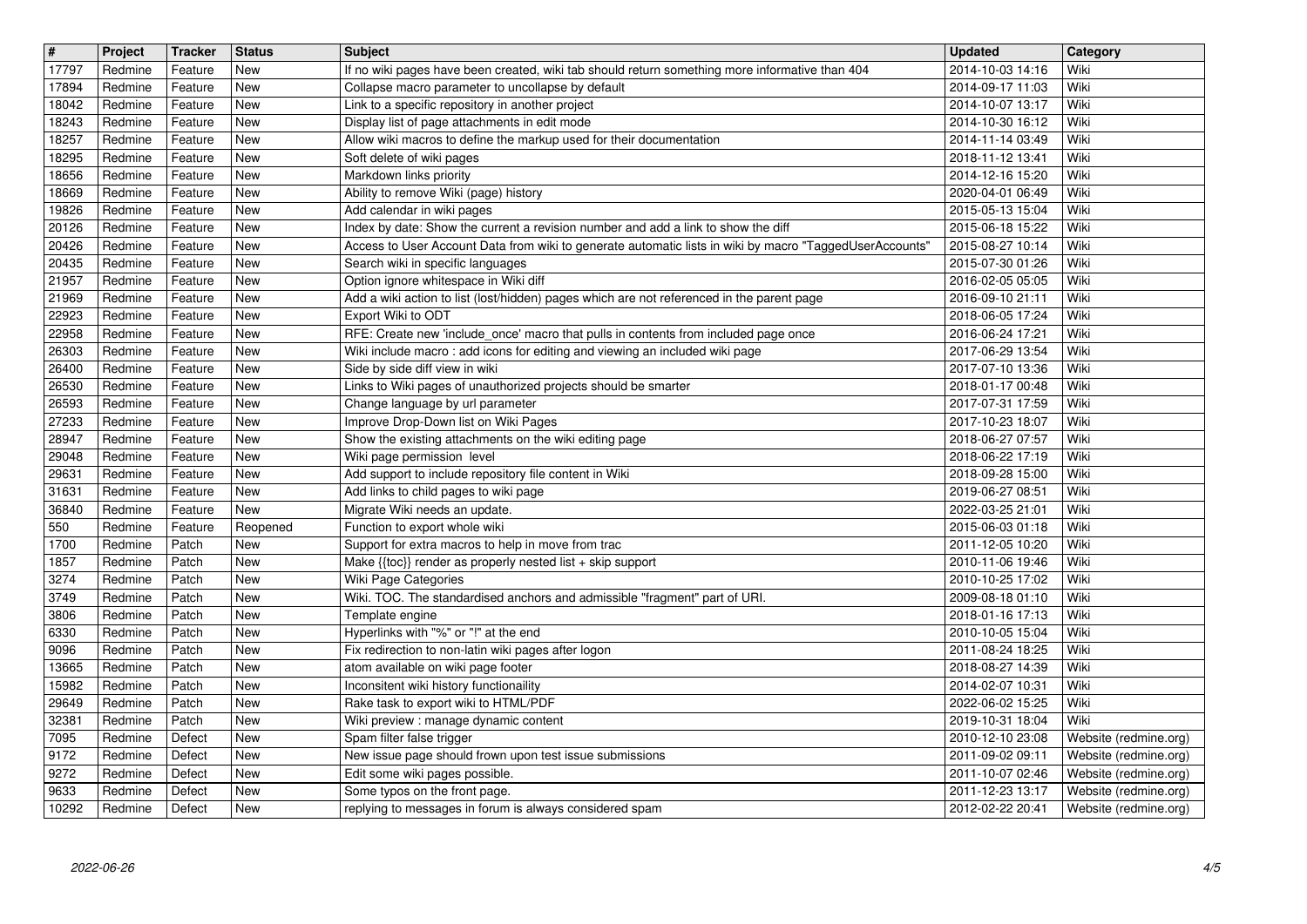| $\overline{\mathbf{H}}$<br>17797 | Project<br>Redmine | Tracker<br>Feature | <b>Status</b><br>New     | <b>Subject</b>                                                                                                                                                                               | <b>Updated</b><br>2014-10-03 14:16   | Category<br>Wiki                               |
|----------------------------------|--------------------|--------------------|--------------------------|----------------------------------------------------------------------------------------------------------------------------------------------------------------------------------------------|--------------------------------------|------------------------------------------------|
| 17894                            | Redmine            | Feature            | <b>New</b>               | If no wiki pages have been created, wiki tab should return something more informative than 404<br>Collapse macro parameter to uncollapse by default                                          | 2014-09-17 11:03                     | Wiki                                           |
| 18042                            | Redmine            | Feature            | <b>New</b><br><b>New</b> | Link to a specific repository in another project                                                                                                                                             | 2014-10-07 13:17                     | Wiki<br>Wiki                                   |
| 18243<br>18257                   | Redmine<br>Redmine | Feature<br>Feature | <b>New</b>               | Display list of page attachments in edit mode<br>Allow wiki macros to define the markup used for their documentation                                                                         | 2014-10-30 16:12<br>2014-11-14 03:49 | Wiki                                           |
| 18295                            | Redmine            | Feature            | <b>New</b>               | Soft delete of wiki pages                                                                                                                                                                    | 2018-11-12 13:41                     | Wiki                                           |
| 18656<br>18669                   | Redmine<br>Redmine | Feature<br>Feature | New<br>New               | Markdown links priority<br>Ability to remove Wiki (page) history                                                                                                                             | 2014-12-16 15:20<br>2020-04-01 06:49 | Wiki<br>Wiki                                   |
| 19826                            | Redmine            | Feature            | <b>New</b>               | Add calendar in wiki pages                                                                                                                                                                   | 2015-05-13 15:04                     | Wiki                                           |
| 20126<br>20426                   | Redmine<br>Redmine | Feature<br>Feature | New<br><b>New</b>        | Index by date: Show the current a revision number and add a link to show the diff<br>Access to User Account Data from wiki to generate automatic lists in wiki by macro "TaggedUserAccounts' | 2015-06-18 15:22<br>2015-08-27 10:14 | Wiki<br>Wiki                                   |
| 20435                            | Redmine            | Feature            | <b>New</b>               | Search wiki in specific languages                                                                                                                                                            | 2015-07-30 01:26                     | Wiki                                           |
| 21957<br>21969                   | Redmine<br>Redmine | Feature<br>Feature | New<br><b>New</b>        | Option ignore whitespace in Wiki diff<br>Add a wiki action to list (lost/hidden) pages which are not referenced in the parent page                                                           | 2016-02-05 05:05<br>2016-09-10 21:11 | Wiki<br>Wiki                                   |
| 22923                            | Redmine            | Feature            | <b>New</b>               | Export Wiki to ODT                                                                                                                                                                           | 2018-06-05 17:24                     | Wiki                                           |
| 22958<br>26303                   | Redmine<br>Redmine | Feature<br>Feature | New<br>New               | RFE: Create new 'include_once' macro that pulls in contents from included page once<br>Wiki include macro: add icons for editing and viewing an included wiki page                           | 2016-06-24 17:21<br>2017-06-29 13:54 | Wiki<br>Wiki                                   |
| 26400                            | Redmine            | Feature            | New                      | Side by side diff view in wiki                                                                                                                                                               | 2017-07-10 13:36                     | Wiki                                           |
| 26530<br>26593                   | Redmine<br>Redmine | Feature<br>Feature | New<br><b>New</b>        | Links to Wiki pages of unauthorized projects should be smarter<br>Change language by url parameter                                                                                           | 2018-01-17 00:48<br>2017-07-31 17:59 | Wiki<br>Wiki                                   |
| 27233                            | Redmine            | Feature            | New                      | Improve Drop-Down list on Wiki Pages                                                                                                                                                         | 2017-10-23 18:07                     | Wiki                                           |
| 28947<br>29048                   | Redmine<br>Redmine | Feature<br>Feature | New<br>New               | Show the existing attachments on the wiki editing page<br>Wiki page permission level                                                                                                         | 2018-06-27 07:57<br>2018-06-22 17:19 | Wiki<br>Wiki                                   |
| 29631                            | Redmine            | Feature            | <b>New</b>               | Add support to include repository file content in Wiki                                                                                                                                       | 2018-09-28 15:00                     | Wiki                                           |
| 31631<br>36840                   | Redmine<br>Redmine | Feature<br>Feature | New<br>New               | Add links to child pages to wiki page<br>Migrate Wiki needs an update.                                                                                                                       | 2019-06-27 08:51<br>2022-03-25 21:01 | Wiki<br>Wiki                                   |
| 550                              | Redmine            | Feature            | Reopened                 | Function to export whole wiki                                                                                                                                                                | 2015-06-03 01:18                     | Wiki                                           |
| 1700<br>1857                     | Redmine<br>Redmine | Patch<br>Patch     | <b>New</b><br><b>New</b> | Support for extra macros to help in move from trac<br>Make {{toc}} render as properly nested list + skip support                                                                             | 2011-12-05 10:20<br>2010-11-06 19:46 | Wiki<br>Wiki                                   |
| 3274                             | Redmine            | Patch              | <b>New</b>               | Wiki Page Categories                                                                                                                                                                         | 2010-10-25 17:02                     | Wiki                                           |
| 3749<br>3806                     | Redmine<br>Redmine | Patch<br>Patch     | <b>New</b><br><b>New</b> | Wiki. TOC. The standardised anchors and admissible "fragment" part of URI.<br>Template engine                                                                                                | 2009-08-18 01:10<br>2018-01-16 17:13 | Wiki<br>Wiki                                   |
| 6330                             | Redmine            | Patch              | <b>New</b>               | Hyperlinks with "%" or "!" at the end                                                                                                                                                        | 2010-10-05 15:04                     | Wiki                                           |
| 9096<br>13665                    | Redmine<br>Redmine | Patch<br>Patch     | <b>New</b><br><b>New</b> | Fix redirection to non-latin wiki pages after logon<br>atom available on wiki page footer                                                                                                    | 2011-08-24 18:25<br>2018-08-27 14:39 | Wiki<br>Wiki                                   |
| 15982                            | Redmine            | Patch              | <b>New</b>               | Inconsitent wiki history functionaility                                                                                                                                                      | 2014-02-07 10:31                     | Wiki                                           |
| 29649<br>32381                   | Redmine<br>Redmine | Patch<br>Patch     | New<br><b>New</b>        | Rake task to export wiki to HTML/PDF<br>Wiki preview : manage dynamic content                                                                                                                | 2022-06-02 15:25<br>2019-10-31 18:04 | Wiki<br>Wiki                                   |
| 7095                             | Redmine            | Defect             | New                      | Spam filter false trigger                                                                                                                                                                    | 2010-12-10 23:08                     | Website (redmine.org)                          |
| 9172<br>9272                     | Redmine<br>Redmine | Defect<br>Defect   | New<br>New               | New issue page should frown upon test issue submissions<br>Edit some wiki pages possible.                                                                                                    | 2011-09-02 09:11<br>2011-10-07 02:46 | Website (redmine.org)<br>Website (redmine.org) |
| 9633<br>10292                    | Redmine<br>Redmine | Defect<br>Defect   | New<br>New               | Some typos on the front page.<br>replying to messages in forum is always considered spam                                                                                                     | 2011-12-23 13:17<br>2012-02-22 20:41 | Website (redmine.org)<br>Website (redmine.org) |
|                                  |                    |                    |                          |                                                                                                                                                                                              |                                      |                                                |
|                                  |                    |                    |                          |                                                                                                                                                                                              |                                      |                                                |
|                                  |                    |                    |                          |                                                                                                                                                                                              |                                      |                                                |
|                                  |                    |                    |                          |                                                                                                                                                                                              |                                      |                                                |
|                                  |                    |                    |                          |                                                                                                                                                                                              |                                      |                                                |
|                                  |                    |                    |                          |                                                                                                                                                                                              |                                      |                                                |
|                                  |                    |                    |                          |                                                                                                                                                                                              |                                      |                                                |
|                                  |                    |                    |                          |                                                                                                                                                                                              |                                      |                                                |
|                                  |                    |                    |                          |                                                                                                                                                                                              |                                      |                                                |
|                                  |                    |                    |                          |                                                                                                                                                                                              |                                      |                                                |
|                                  |                    |                    |                          |                                                                                                                                                                                              |                                      |                                                |
|                                  |                    |                    |                          |                                                                                                                                                                                              |                                      |                                                |